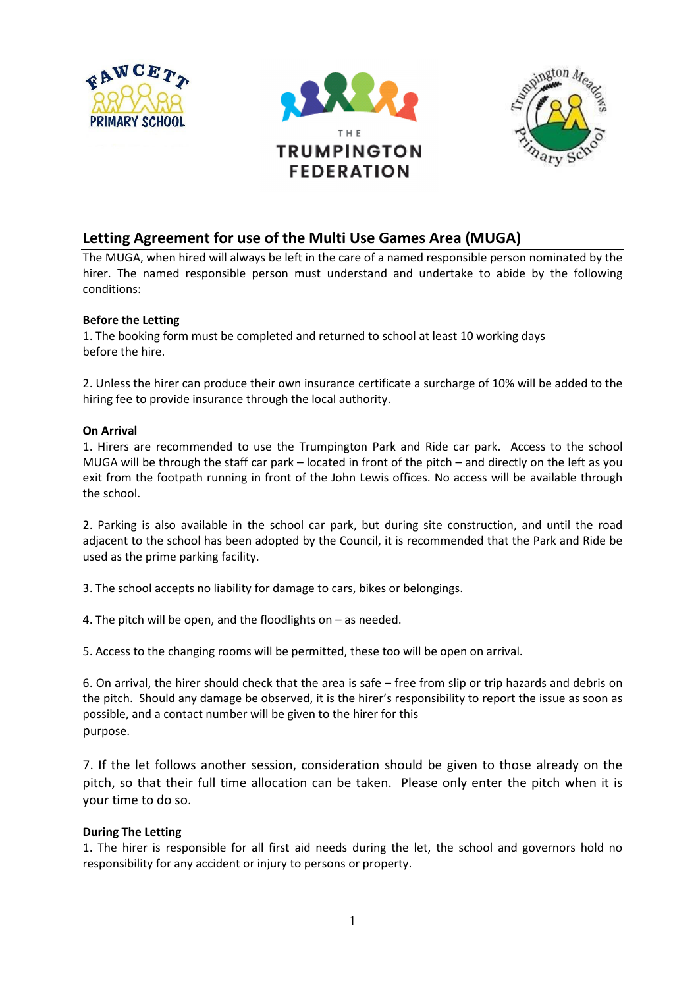





## Letting Agreement for use of the Multi Use Games Area (MUGA)

The MUGA, when hired will always be left in the care of a named responsible person nominated by the hirer. The named responsible person must understand and undertake to abide by the following conditions:

### Before the Letting

1. The booking form must be completed and returned to school at least 10 working days before the hire.

2. Unless the hirer can produce their own insurance certificate a surcharge of 10% will be added to the hiring fee to provide insurance through the local authority.

### On Arrival

1. Hirers are recommended to use the Trumpington Park and Ride car park. Access to the school MUGA will be through the staff car park – located in front of the pitch – and directly on the left as you exit from the footpath running in front of the John Lewis offices. No access will be available through the school.

2. Parking is also available in the school car park, but during site construction, and until the road adjacent to the school has been adopted by the Council, it is recommended that the Park and Ride be used as the prime parking facility.

3. The school accepts no liability for damage to cars, bikes or belongings.

4. The pitch will be open, and the floodlights on – as needed.

5. Access to the changing rooms will be permitted, these too will be open on arrival.

6. On arrival, the hirer should check that the area is safe – free from slip or trip hazards and debris on the pitch. Should any damage be observed, it is the hirer's responsibility to report the issue as soon as possible, and a contact number will be given to the hirer for this purpose.

7. If the let follows another session, consideration should be given to those already on the pitch, so that their full time allocation can be taken. Please only enter the pitch when it is your time to do so.

### During The Letting

1. The hirer is responsible for all first aid needs during the let, the school and governors hold no responsibility for any accident or injury to persons or property.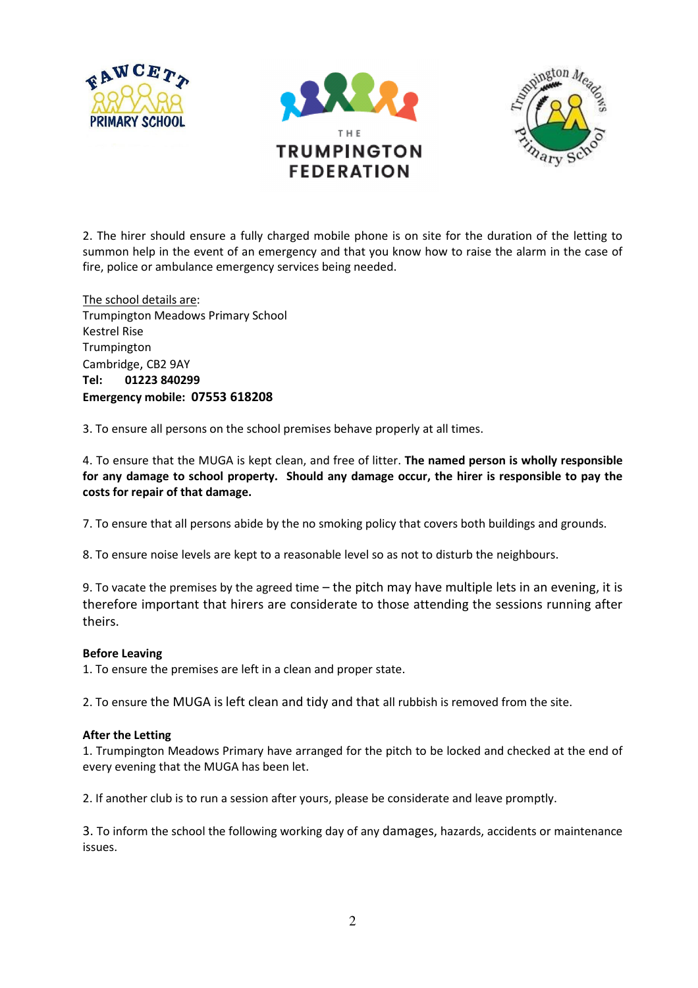





2. The hirer should ensure a fully charged mobile phone is on site for the duration of the letting to summon help in the event of an emergency and that you know how to raise the alarm in the case of fire, police or ambulance emergency services being needed.

The school details are: Trumpington Meadows Primary School Kestrel Rise Trumpington Cambridge, CB2 9AY Tel: 01223 840299 Emergency mobile: 07553 618208

3. To ensure all persons on the school premises behave properly at all times.

4. To ensure that the MUGA is kept clean, and free of litter. The named person is wholly responsible for any damage to school property. Should any damage occur, the hirer is responsible to pay the costs for repair of that damage.

7. To ensure that all persons abide by the no smoking policy that covers both buildings and grounds.

8. To ensure noise levels are kept to a reasonable level so as not to disturb the neighbours.

9. To vacate the premises by the agreed time – the pitch may have multiple lets in an evening, it is therefore important that hirers are considerate to those attending the sessions running after theirs.

### Before Leaving

1. To ensure the premises are left in a clean and proper state.

2. To ensure the MUGA is left clean and tidy and that all rubbish is removed from the site.

### After the Letting

1. Trumpington Meadows Primary have arranged for the pitch to be locked and checked at the end of every evening that the MUGA has been let.

2. If another club is to run a session after yours, please be considerate and leave promptly.

3. To inform the school the following working day of any damages, hazards, accidents or maintenance issues.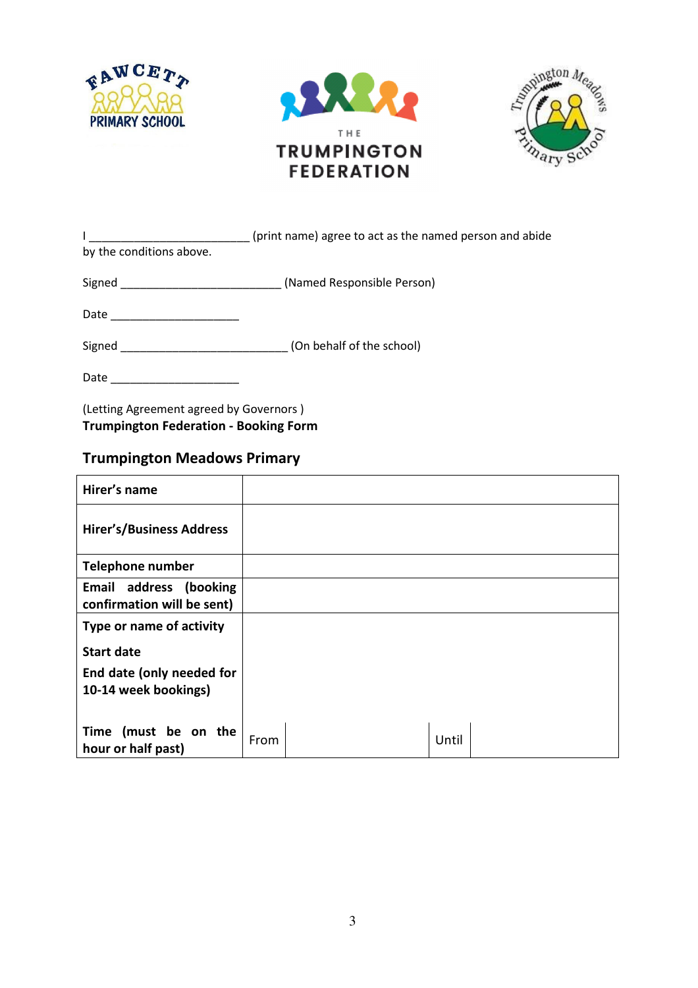





| by the conditions above.      | (print name) agree to act as the named person and abide |
|-------------------------------|---------------------------------------------------------|
|                               |                                                         |
|                               | Signed <b>Signed</b> (Named Responsible Person)         |
| Date ________________________ |                                                         |
| Signed                        | (On behalf of the school)                               |
| Date                          |                                                         |

(Letting Agreement agreed by Governors ) Trumpington Federation - Booking Form

## Trumpington Meadows Primary

| Hirer's name                                         |      |       |  |
|------------------------------------------------------|------|-------|--|
| <b>Hirer's/Business Address</b>                      |      |       |  |
| <b>Telephone number</b>                              |      |       |  |
| Email address (booking<br>confirmation will be sent) |      |       |  |
| Type or name of activity                             |      |       |  |
| <b>Start date</b>                                    |      |       |  |
| End date (only needed for<br>10-14 week bookings)    |      |       |  |
|                                                      |      |       |  |
| Time (must be on the<br>hour or half past)           | From | Until |  |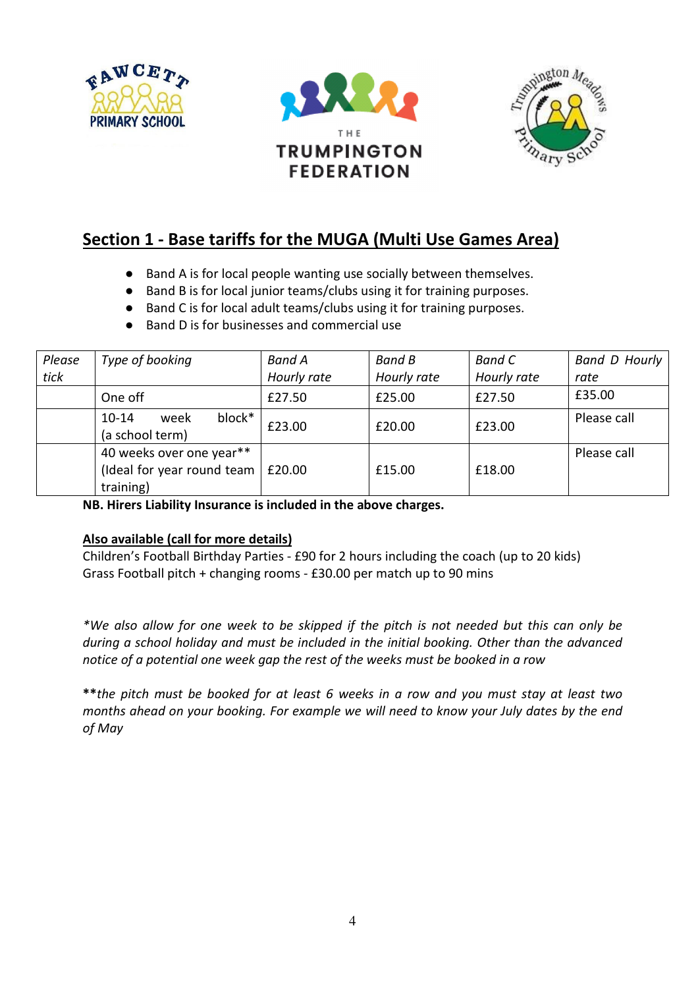





# Section 1 - Base tariffs for the MUGA (Multi Use Games Area)

- Band A is for local people wanting use socially between themselves.
- Band B is for local junior teams/clubs using it for training purposes.
- Band C is for local adult teams/clubs using it for training purposes.
- Band D is for businesses and commercial use

| Please | Type of booking                                                     | <b>Band A</b> | <b>Band B</b> | Band C      | <b>Band D Hourly</b> |
|--------|---------------------------------------------------------------------|---------------|---------------|-------------|----------------------|
| tick   |                                                                     | Hourly rate   | Hourly rate   | Hourly rate | rate                 |
|        | One off                                                             | £27.50        | £25.00        | £27.50      | £35.00               |
|        | block*<br>$10 - 14$<br>week<br>(a school term)                      | £23.00        | £20.00        | £23.00      | Please call          |
|        | 40 weeks over one year**<br>(Ideal for year round team<br>training) | £20.00        | £15.00        | £18.00      | Please call          |

NB. Hirers Liability Insurance is included in the above charges.

### Also available (call for more details)

Children's Football Birthday Parties - £90 for 2 hours including the coach (up to 20 kids) Grass Football pitch + changing rooms - £30.00 per match up to 90 mins

\*We also allow for one week to be skipped if the pitch is not needed but this can only be during a school holiday and must be included in the initial booking. Other than the advanced notice of a potential one week gap the rest of the weeks must be booked in a row

\*\* the pitch must be booked for at least 6 weeks in a row and you must stay at least two months ahead on your booking. For example we will need to know your July dates by the end of May